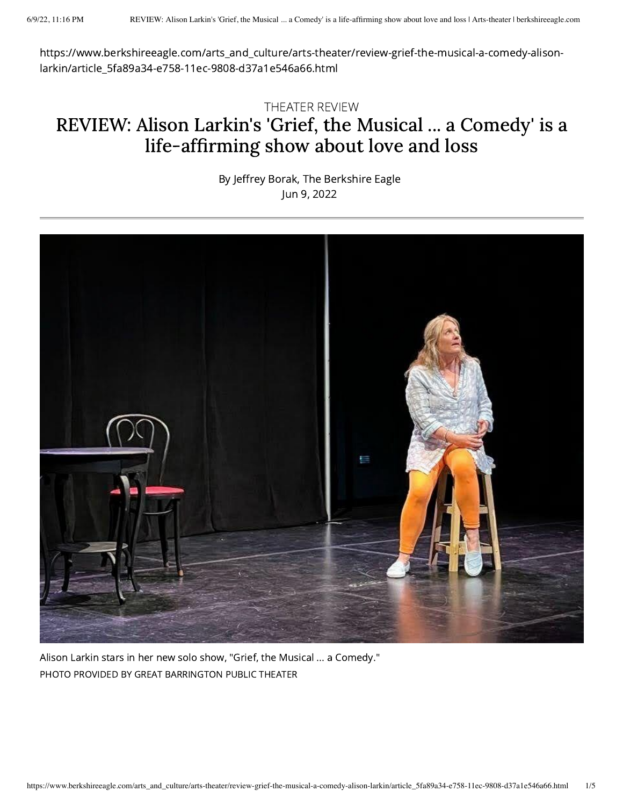https://www.berkshireeagle.com/arts\_and\_culture/arts-theater/review-grief-the-musical-a-comedy-alisonlarkin/article\_5fa89a34-e758-11ec-9808-d37a1e546a66.html

## THEATER REVIEW REVIEW: Alison Larkin's 'Grief, the Musical ... a Comedy' is a life-affirming show about love and loss

By Jeffrey Borak, The [Berkshire](https://www.berkshireeagle.com/users/profile/Jeff%20Borak) Eagle Jun 9, 2022



Alison Larkin stars in her new solo show, "Grief, the Musical ... a Comedy." PHOTO PROVIDED BY GREAT BARRINGTON PUBLIC THEATER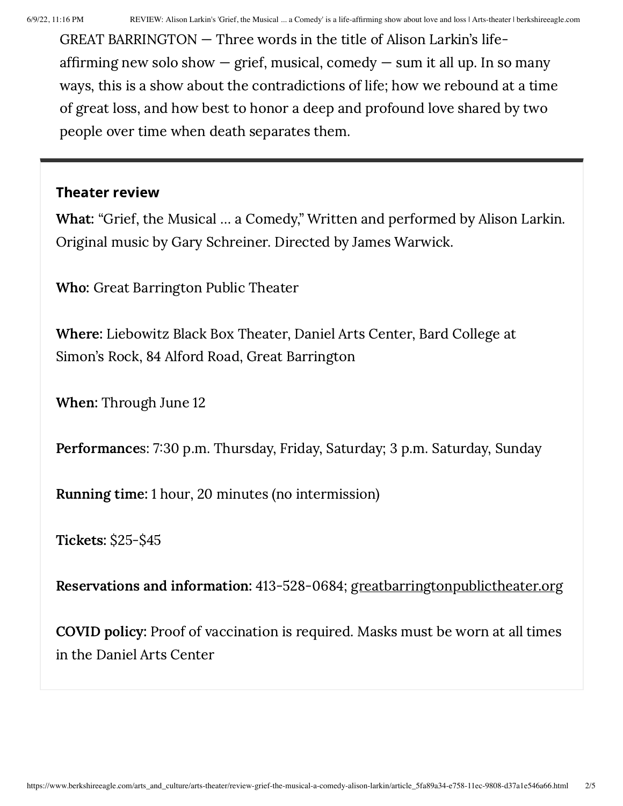GREAT BARRINGTON — Three words in the title of Alison Larkin's lifeaffirming new solo show  $-$  grief, musical, comedy  $-$  sum it all up. In so many ways, this is a show about the contradictions of life; how we rebound at a time of great loss, and how best to honor a deep and profound love shared by two people over time when death separates them.

## Theater review

What: "Grief, the Musical … a Comedy," Written and performed by Alison Larkin. Original music by Gary Schreiner. Directed by James Warwick.

Who: Great Barrington Public Theater

Where: Liebowitz Black Box Theater, Daniel Arts Center, Bard College at Simon's Rock, 84 Alford Road, Great Barrington

When: Through June 12

Performances: 7:30 p.m. Thursday, Friday, Saturday; 3 p.m. Saturday, Sunday

Running time: 1 hour, 20 minutes (no intermission)

Tickets: \$25-\$45

Reservations and information: 413-528-0684; [greatbarringtonpublictheater.org](http://greatbarringtonpublictheater.org/)

COVID policy: Proof of vaccination is required. Masks must be worn at all times in the Daniel Arts Center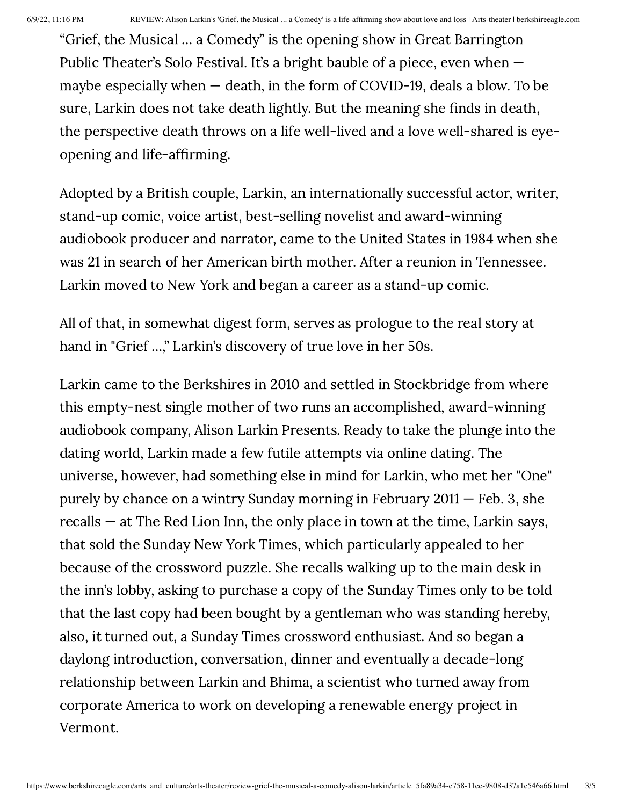"Grief, the Musical … a Comedy" is the opening show in Great Barrington Public Theater's Solo Festival. It's a bright bauble of a piece, even when maybe especially when — death, in the form of COVID-19, deals a blow. To be sure, Larkin does not take death lightly. But the meaning she finds in death, the perspective death throws on a life well-lived and a love well-shared is eyeopening and life-affirming.

Adopted by a British couple, Larkin, an internationally successful actor, writer, stand-up comic, voice artist, best-selling novelist and award-winning audiobook producer and narrator, came to the United States in 1984 when she was 21 in search of her American birth mother. After a reunion in Tennessee. Larkin moved to New York and began a career as a stand-up comic.

All of that, in somewhat digest form, serves as prologue to the real story at hand in "Grief …," Larkin's discovery of true love in her 50s.

Larkin came to the Berkshires in 2010 and settled in Stockbridge from where this empty-nest single mother of two runs an accomplished, award-winning audiobook company, Alison Larkin Presents. Ready to take the plunge into the dating world, Larkin made a few futile attempts via online dating. The universe, however, had something else in mind for Larkin, who met her "One" purely by chance on a wintry Sunday morning in February 2011 — Feb. 3, she recalls — at The Red Lion Inn, the only place in town at the time, Larkin says, that sold the Sunday New York Times, which particularly appealed to her because of the crossword puzzle. She recalls walking up to the main desk in the inn's lobby, asking to purchase a copy of the Sunday Times only to be told that the last copy had been bought by a gentleman who was standing hereby, also, it turned out, a Sunday Times crossword enthusiast. And so began a daylong introduction, conversation, dinner and eventually a decade-long relationship between Larkin and Bhima, a scientist who turned away from corporate America to work on developing a renewable energy project in Vermont.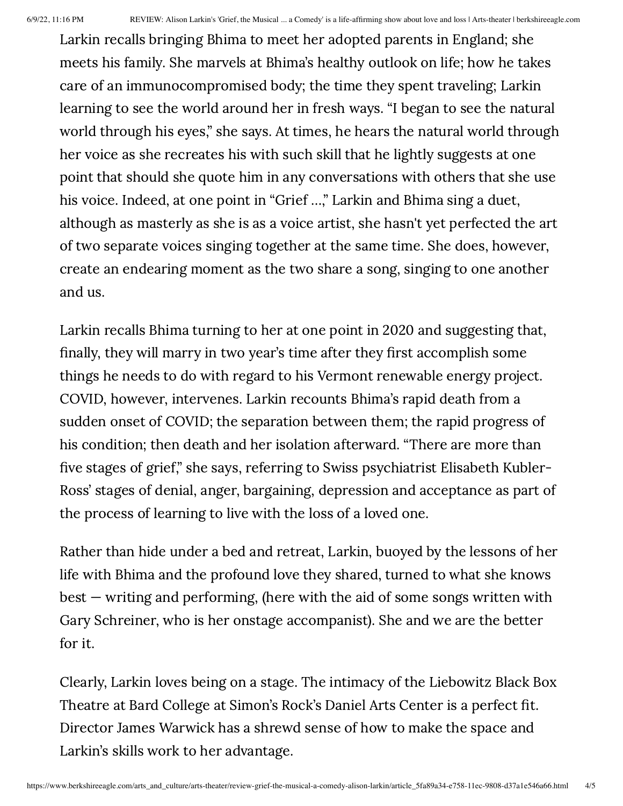Larkin recalls bringing Bhima to meet her adopted parents in England; she meets his family. She marvels at Bhima's healthy outlook on life; how he takes care of an immunocompromised body; the time they spent traveling; Larkin learning to see the world around her in fresh ways. "I began to see the natural world through his eyes," she says. At times, he hears the natural world through her voice as she recreates his with such skill that he lightly suggests at one point that should she quote him in any conversations with others that she use his voice. Indeed, at one point in "Grief …," Larkin and Bhima sing a duet, although as masterly as she is as a voice artist, she hasn't yet perfected the art of two separate voices singing together at the same time. She does, however, create an endearing moment as the two share a song, singing to one another and us.

Larkin recalls Bhima turning to her at one point in 2020 and suggesting that, finally, they will marry in two year's time after they first accomplish some things he needs to do with regard to his Vermont renewable energy project. COVID, however, intervenes. Larkin recounts Bhima's rapid death from a sudden onset of COVID; the separation between them; the rapid progress of his condition; then death and her isolation afterward. "There are more than five stages of grief," she says, referring to Swiss psychiatrist Elisabeth Kubler-Ross' stages of denial, anger, bargaining, depression and acceptance as part of the process of learning to live with the loss of a loved one.

Rather than hide under a bed and retreat, Larkin, buoyed by the lessons of her life with Bhima and the profound love they shared, turned to what she knows best — writing and performing, (here with the aid of some songs written with Gary Schreiner, who is her onstage accompanist). She and we are the better for it.

Clearly, Larkin loves being on a stage. The intimacy of the Liebowitz Black Box Theatre at Bard College at Simon's Rock's Daniel Arts Center is a perfect fit. Director James Warwick has a shrewd sense of how to make the space and Larkin's skills work to her advantage.